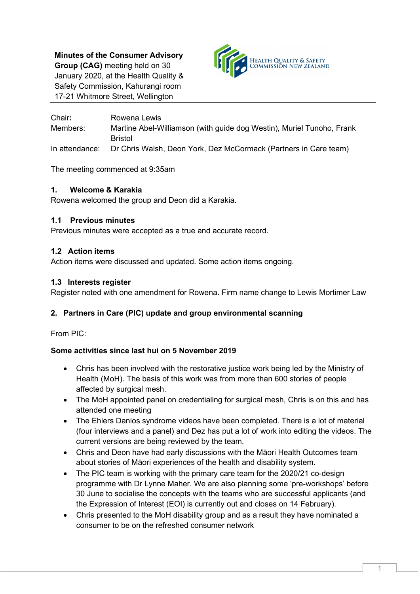**Minutes of the Consumer Advisory Group (CAG)** meeting held on 30 January 2020, at the Health Quality & Safety Commission, Kahurangi room 17-21 Whitmore Street, Wellington



Chair**:** Rowena Lewis Members: Martine Abel-Williamson (with guide dog Westin), Muriel Tunoho, Frank Bristol In attendance: Dr Chris Walsh, Deon York, Dez McCormack (Partners in Care team)

The meeting commenced at 9:35am

# **1. Welcome & Karakia**

Rowena welcomed the group and Deon did a Karakia.

### **1.1 Previous minutes**

Previous minutes were accepted as a true and accurate record.

### **1.2 Action items**

Action items were discussed and updated. Some action items ongoing.

### **1.3 Interests register**

Register noted with one amendment for Rowena. Firm name change to Lewis Mortimer Law

# **2. Partners in Care (PIC) update and group environmental scanning**

From PIC:

# **Some activities since last hui on 5 November 2019**

- Chris has been involved with the restorative justice work being led by the Ministry of Health (MoH). The basis of this work was from more than 600 stories of people affected by surgical mesh.
- The MoH appointed panel on credentialing for surgical mesh, Chris is on this and has attended one meeting
- The Ehlers Danlos syndrome videos have been completed. There is a lot of material (four interviews and a panel) and Dez has put a lot of work into editing the videos. The current versions are being reviewed by the team.
- Chris and Deon have had early discussions with the Māori Health Outcomes team about stories of Māori experiences of the health and disability system.
- The PIC team is working with the primary care team for the 2020/21 co-design programme with Dr Lynne Maher. We are also planning some 'pre-workshops' before 30 June to socialise the concepts with the teams who are successful applicants (and the Expression of Interest (EOI) is currently out and closes on 14 February).
- Chris presented to the MoH disability group and as a result they have nominated a consumer to be on the refreshed consumer network

1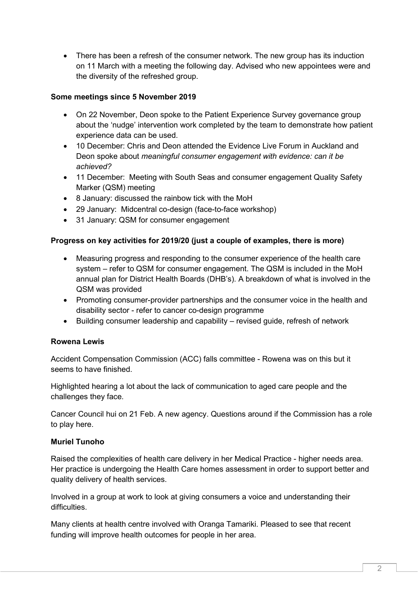• There has been a refresh of the consumer network. The new group has its induction on 11 March with a meeting the following day. Advised who new appointees were and the diversity of the refreshed group.

# **Some meetings since 5 November 2019**

- On 22 November, Deon spoke to the Patient Experience Survey governance group about the 'nudge' intervention work completed by the team to demonstrate how patient experience data can be used.
- 10 December: Chris and Deon attended the Evidence Live Forum in Auckland and Deon spoke about *meaningful consumer engagement with evidence: can it be achieved?*
- 11 December: Meeting with South Seas and consumer engagement Quality Safety Marker (QSM) meeting
- 8 January: discussed the rainbow tick with the MoH
- 29 January: Midcentral co-design (face-to-face workshop)
- 31 January: QSM for consumer engagement

# **Progress on key activities for 2019/20 (just a couple of examples, there is more)**

- Measuring progress and responding to the consumer experience of the health care system – refer to QSM for consumer engagement. The QSM is included in the MoH annual plan for District Health Boards (DHB's). A breakdown of what is involved in the QSM was provided
- Promoting consumer-provider partnerships and the consumer voice in the health and disability sector - refer to cancer co-design programme
- Building consumer leadership and capability revised guide, refresh of network

# **Rowena Lewis**

Accident Compensation Commission (ACC) falls committee - Rowena was on this but it seems to have finished.

Highlighted hearing a lot about the lack of communication to aged care people and the challenges they face.

Cancer Council hui on 21 Feb. A new agency. Questions around if the Commission has a role to play here.

### **Muriel Tunoho**

Raised the complexities of health care delivery in her Medical Practice - higher needs area. Her practice is undergoing the Health Care homes assessment in order to support better and quality delivery of health services.

Involved in a group at work to look at giving consumers a voice and understanding their difficulties

Many clients at health centre involved with Oranga Tamariki. Pleased to see that recent funding will improve health outcomes for people in her area.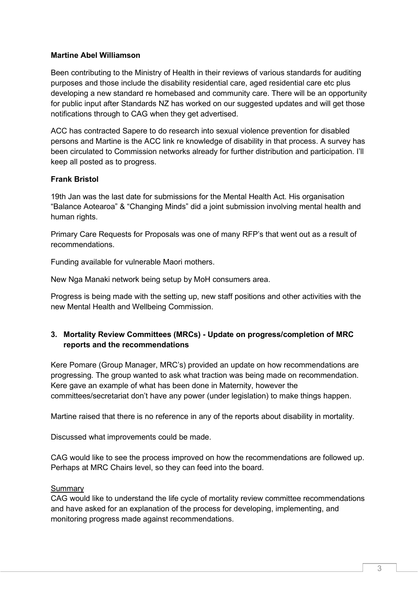### **Martine Abel Williamson**

Been contributing to the Ministry of Health in their reviews of various standards for auditing purposes and those include the disability residential care, aged residential care etc plus developing a new standard re homebased and community care. There will be an opportunity for public input after Standards NZ has worked on our suggested updates and will get those notifications through to CAG when they get advertised.

ACC has contracted Sapere to do research into sexual violence prevention for disabled persons and Martine is the ACC link re knowledge of disability in that process. A survey has been circulated to Commission networks already for further distribution and participation. I'll keep all posted as to progress.

### **Frank Bristol**

19th Jan was the last date for submissions for the Mental Health Act. His organisation "Balance Aotearoa" & "Changing Minds" did a joint submission involving mental health and human rights.

Primary Care Requests for Proposals was one of many RFP's that went out as a result of recommendations.

Funding available for vulnerable Maori mothers.

New Nga Manaki network being setup by MoH consumers area.

Progress is being made with the setting up, new staff positions and other activities with the new Mental Health and Wellbeing Commission.

# **3. Mortality Review Committees (MRCs) - Update on progress/completion of MRC reports and the recommendations**

Kere Pomare (Group Manager, MRC's) provided an update on how recommendations are progressing. The group wanted to ask what traction was being made on recommendation. Kere gave an example of what has been done in Maternity, however the committees/secretariat don't have any power (under legislation) to make things happen.

Martine raised that there is no reference in any of the reports about disability in mortality.

Discussed what improvements could be made.

CAG would like to see the process improved on how the recommendations are followed up. Perhaps at MRC Chairs level, so they can feed into the board.

# Summary

CAG would like to understand the life cycle of mortality review committee recommendations and have asked for an explanation of the process for developing, implementing, and monitoring progress made against recommendations.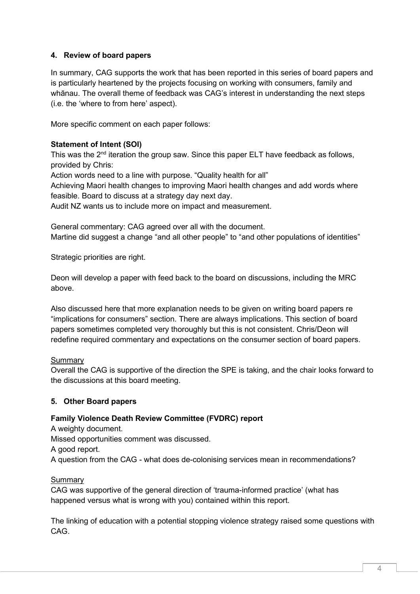# **4. Review of board papers**

In summary, CAG supports the work that has been reported in this series of board papers and is particularly heartened by the projects focusing on working with consumers, family and whānau. The overall theme of feedback was CAG's interest in understanding the next steps (i.e. the 'where to from here' aspect).

More specific comment on each paper follows:

# **Statement of Intent (SOI)**

This was the 2<sup>nd</sup> iteration the group saw. Since this paper ELT have feedback as follows, provided by Chris:

Action words need to a line with purpose. "Quality health for all"

Achieving Maori health changes to improving Maori health changes and add words where feasible. Board to discuss at a strategy day next day.

Audit NZ wants us to include more on impact and measurement.

General commentary: CAG agreed over all with the document. Martine did suggest a change "and all other people" to "and other populations of identities"

Strategic priorities are right.

Deon will develop a paper with feed back to the board on discussions, including the MRC above.

Also discussed here that more explanation needs to be given on writing board papers re "implications for consumers" section. There are always implications. This section of board papers sometimes completed very thoroughly but this is not consistent. Chris/Deon will redefine required commentary and expectations on the consumer section of board papers.

### **Summarv**

Overall the CAG is supportive of the direction the SPE is taking, and the chair looks forward to the discussions at this board meeting.

# **5. Other Board papers**

# **Family Violence Death Review Committee (FVDRC) report**

A weighty document. Missed opportunities comment was discussed. A good report. A question from the CAG - what does de-colonising services mean in recommendations?

# **Summary**

CAG was supportive of the general direction of 'trauma-informed practice' (what has happened versus what is wrong with you) contained within this report.

The linking of education with a potential stopping violence strategy raised some questions with CAG.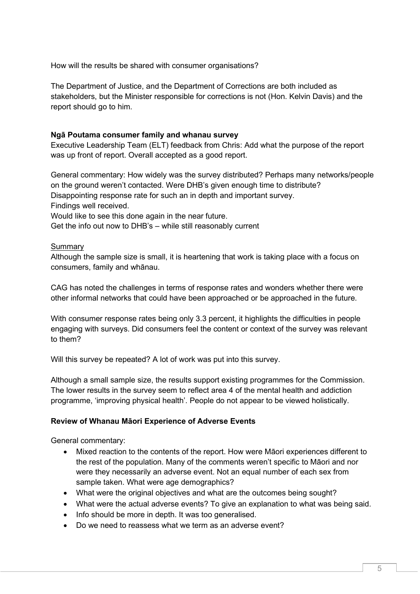How will the results be shared with consumer organisations?

The Department of Justice, and the Department of Corrections are both included as stakeholders, but the Minister responsible for corrections is not (Hon. Kelvin Davis) and the report should go to him.

### **Ngā Poutama consumer family and whanau survey**

Executive Leadership Team (ELT) feedback from Chris: Add what the purpose of the report was up front of report. Overall accepted as a good report.

General commentary: How widely was the survey distributed? Perhaps many networks/people on the ground weren't contacted. Were DHB's given enough time to distribute? Disappointing response rate for such an in depth and important survey. Findings well received. Would like to see this done again in the near future.

Get the info out now to DHB's – while still reasonably current

### Summary

Although the sample size is small, it is heartening that work is taking place with a focus on consumers, family and whānau.

CAG has noted the challenges in terms of response rates and wonders whether there were other informal networks that could have been approached or be approached in the future.

With consumer response rates being only 3.3 percent, it highlights the difficulties in people engaging with surveys. Did consumers feel the content or context of the survey was relevant to them?

Will this survey be repeated? A lot of work was put into this survey.

Although a small sample size, the results support existing programmes for the Commission. The lower results in the survey seem to reflect area 4 of the mental health and addiction programme, 'improving physical health'. People do not appear to be viewed holistically.

### **Review of Whanau Māori Experience of Adverse Events**

General commentary:

- Mixed reaction to the contents of the report. How were Māori experiences different to the rest of the population. Many of the comments weren't specific to Māori and nor were they necessarily an adverse event. Not an equal number of each sex from sample taken. What were age demographics?
- What were the original objectives and what are the outcomes being sought?
- What were the actual adverse events? To give an explanation to what was being said.
- Info should be more in depth. It was too generalised.
- Do we need to reassess what we term as an adverse event?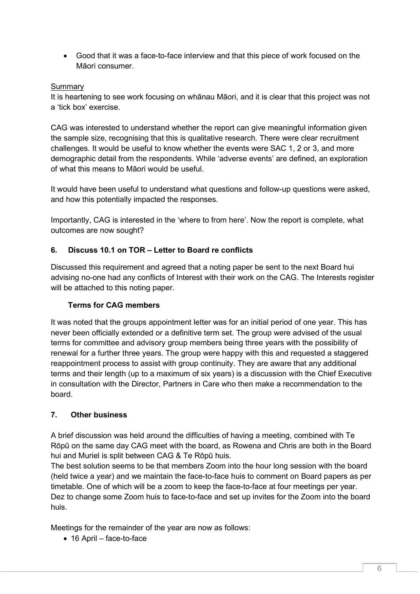• Good that it was a face-to-face interview and that this piece of work focused on the Māori consumer.

### Summary

It is heartening to see work focusing on whānau Māori, and it is clear that this project was not a 'tick box' exercise.

CAG was interested to understand whether the report can give meaningful information given the sample size, recognising that this is qualitative research. There were clear recruitment challenges. It would be useful to know whether the events were SAC 1, 2 or 3, and more demographic detail from the respondents. While 'adverse events' are defined, an exploration of what this means to Māori would be useful.

It would have been useful to understand what questions and follow-up questions were asked, and how this potentially impacted the responses.

Importantly, CAG is interested in the 'where to from here'. Now the report is complete, what outcomes are now sought?

# **6. Discuss 10.1 on TOR – Letter to Board re conflicts**

Discussed this requirement and agreed that a noting paper be sent to the next Board hui advising no-one had any conflicts of Interest with their work on the CAG. The Interests register will be attached to this noting paper.

### **Terms for CAG members**

It was noted that the groups appointment letter was for an initial period of one year. This has never been officially extended or a definitive term set. The group were advised of the usual terms for committee and advisory group members being three years with the possibility of renewal for a further three years. The group were happy with this and requested a staggered reappointment process to assist with group continuity. They are aware that any additional terms and their length (up to a maximum of six years) is a discussion with the Chief Executive in consultation with the Director, Partners in Care who then make a recommendation to the board.

# **7. Other business**

A brief discussion was held around the difficulties of having a meeting, combined with Te Rōpū on the same day CAG meet with the board, as Rowena and Chris are both in the Board hui and Muriel is split between CAG & Te Rōpū huis.

The best solution seems to be that members Zoom into the hour long session with the board (held twice a year) and we maintain the face-to-face huis to comment on Board papers as per timetable. One of which will be a zoom to keep the face-to-face at four meetings per year. Dez to change some Zoom huis to face-to-face and set up invites for the Zoom into the board huis.

Meetings for the remainder of the year are now as follows:

• 16 April – face-to-face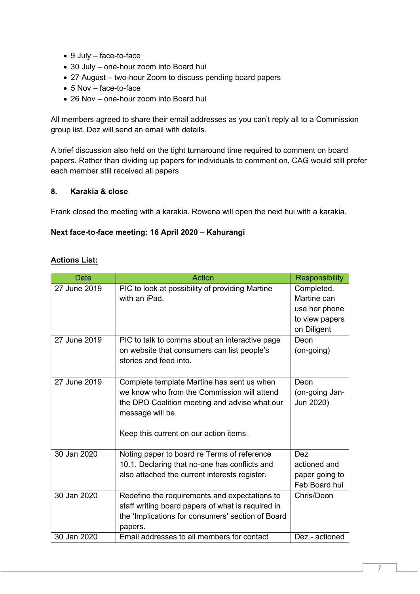- 9 July face-to-face
- 30 July one-hour zoom into Board hui
- 27 August two-hour Zoom to discuss pending board papers
- 5 Nov face-to-face
- 26 Nov one-hour zoom into Board hui

All members agreed to share their email addresses as you can't reply all to a Commission group list. Dez will send an email with details.

A brief discussion also held on the tight turnaround time required to comment on board papers. Rather than dividing up papers for individuals to comment on, CAG would still prefer each member still received all papers

### **8. Karakia & close**

Frank closed the meeting with a karakia. Rowena will open the next hui with a karakia.

### **Next face-to-face meeting: 16 April 2020 – Kahurangi**

# **Actions List:**

| <b>Date</b>  | <b>Action</b>                                                                                                                                                                                            | <b>Responsibility</b>                                                       |
|--------------|----------------------------------------------------------------------------------------------------------------------------------------------------------------------------------------------------------|-----------------------------------------------------------------------------|
| 27 June 2019 | PIC to look at possibility of providing Martine<br>with an iPad.                                                                                                                                         | Completed.<br>Martine can<br>use her phone<br>to view papers<br>on Diligent |
| 27 June 2019 | PIC to talk to comms about an interactive page<br>on website that consumers can list people's<br>stories and feed into.                                                                                  | Deon<br>(on-going)                                                          |
| 27 June 2019 | Complete template Martine has sent us when<br>we know who from the Commission will attend<br>the DPO Coalition meeting and advise what our<br>message will be.<br>Keep this current on our action items. | Deon<br>(on-going Jan-<br>Jun 2020)                                         |
| 30 Jan 2020  | Noting paper to board re Terms of reference<br>10.1. Declaring that no-one has conflicts and<br>also attached the current interests register.                                                            | <b>Dez</b><br>actioned and<br>paper going to<br>Feb Board hui               |
| 30 Jan 2020  | Redefine the requirements and expectations to<br>staff writing board papers of what is required in<br>the 'Implications for consumers' section of Board<br>papers.                                       | Chris/Deon                                                                  |
| 30 Jan 2020  | Email addresses to all members for contact                                                                                                                                                               | Dez - actioned                                                              |